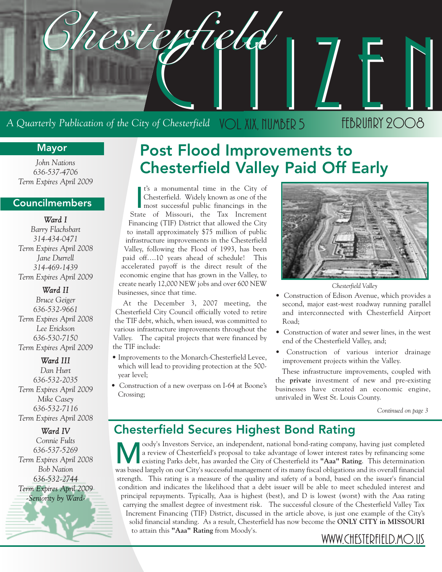

#### **Mayor**

*John Nations 636-537-4706 Term Expires April 2009*

#### **Councilmembers**

*Ward I Barry Flachsbart 314-434-0471 Term Expires April 2008 Jane Durrell 314-469-1439 Term Expires April 2009*

*Ward II Bruce Geiger 636-532-9661 Term Expires April 2008 Lee Erickson 636-530-7150 Term Expires April 2009*

*Ward III Dan Hurt 636-532-2035 Term Expires April 2009 Mike Casey 636-532-7116 Term Expires April 2008*

*Ward IV*

*Connie Fults 636-537-5269 Term Expires April 2008 Bob Nation 636-532-2744 Term Expires April 2009 -Seniority by Ward-*

### **Post Flood Improvements to Chesterfield Valley Paid Off Early**

I's a monumental time in the City of<br>Chesterfield. Widely known as one of the<br>most successful public financings in the<br>State of Missouri, the Tax Increment t's a monumental time in the City of Chesterfield. Widely known as one of the most successful public financings in the Financing (TIF) District that allowed the City to install approximately \$75 million of public infrastructure improvements in the Chesterfield Valley, following the Flood of 1993, has been paid off….10 years ahead of schedule! This accelerated payoff is the direct result of the economic engine that has grown in the Valley, to create nearly 12,000 NEW jobs and over 600 NEW businesses, since that time.

At the December 3, 2007 meeting, the Chesterfield City Council officially voted to retire the TIF debt, which, when issued, was committed to various infrastructure improvements throughout the Valley. The capital projects that were financed by the TIF include:

- Improvements to the Monarch-Chesterfield Levee, which will lead to providing protection at the 500 year level;
- Construction of a new overpass on I-64 at Boone's Crossing;



*Chesterfield Valley*

- Construction of Edison Avenue, which provides a second, major east-west roadway running parallel and interconnected with Chesterfield Airport Road;
- Construction of water and sewer lines, in the west end of the Chesterfield Valley, and;
- Construction of various interior drainage improvement projects within the Valley.

These infrastructure improvements, coupled with the **private** investment of new and pre-existing businesses have created an economic engine, unrivaled in West St. Louis County.

*Continued on page 3*

### **Chesterfield Secures Highest Bond Rating**

oody's Investors Service, an independent, national bond-rating company, having just completed<br>a review of Chesterfield's proposal to take advantage of lower interest rates by refinancing some<br>existing Parks debt, has award a review of Chesterfield's proposal to take advantage of lower interest rates by refinancing some existing Parks debt, has awarded the City of Chesterfield its **"Aaa" Rating**. This determination was based largely on our City's successful management of its many fiscal obligations and its overall financial strength. This rating is a measure of the quality and safety of a bond, based on the issuer's financial condition and indicates the likelihood that a debt issuer will be able to meet scheduled interest and principal repayments. Typically, Aaa is highest (best), and D is lowest (worst) with the Aaa rating carrying the smallest degree of investment risk. The successful closure of the Chesterfield Valley Tax Increment Financing (TIF) District, discussed in the article above, is just one example of the City's solid financial standing. As a result, Chesterfield has now become the **ONLY CITY in MISSOURI** to attain this **"Aaa" Rating** from Moody's. WWW.CHESTERFIELD.MO.US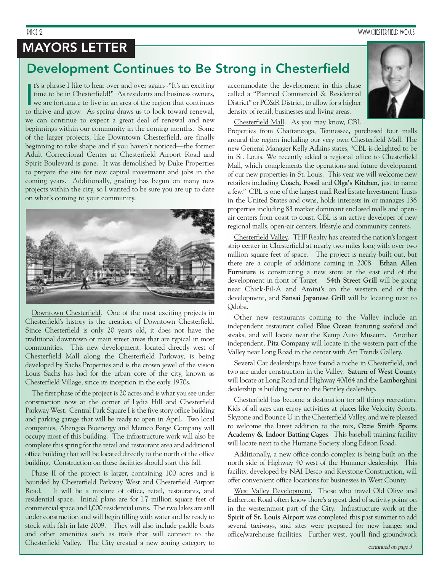### **MAYORS LETTER**

### **Development Continues to Be Strong in Chesterfield**

I's a phrase I like to hear over and over again--"It's an exciting<br>time to be in Chesterfield!" As residents and business owners,<br>we are fortunate to live in an area of the region that continues<br>to thrive and grow. As spri t's a phrase I like to hear over and over again--"It's an exciting time to be in Chesterfield!" As residents and business owners, we are fortunate to live in an area of the region that continues we can continue to expect a great deal of renewal and new beginnings within our community in the coming months. Some of the larger projects, like Downtown Chesterfield, are finally beginning to take shape and if you haven't noticed—the former Adult Correctional Center at Chesterfield Airport Road and Spirit Boulevard is gone. It was demolished by Duke Properties to prepare the site for new capital investment and jobs in the coming years. Additionally, grading has begun on many new projects within the city, so I wanted to be sure you are up to date on what's coming to your community.



Downtown Chesterfield. One of the most exciting projects in Chesterfield's history is the creation of Downtown Chesterfield. Since Chesterfield is only 20 years old, it does not have the traditional downtown or main street areas that are typical in most communities. This new development, located directly west of Chesterfield Mall along the Chesterfield Parkway, is being developed by Sachs Properties and is the crown jewel of the vision Louis Sachs has had for the urban core of the city, known as Chesterfield Village, since its inception in the early 1970s.

The first phase of the project is 20 acres and is what you see under construction now at the corner of Lydia Hill and Chesterfield Parkway West. Central Park Square I is the five story office building and parking garage that will be ready to open in April. Two local companies, Abengoa Bioenergy and Memco Barge Company will occupy most of this building. The infrastructure work will also be complete this spring for the retail and restaurant area and additional office building that will be located directly to the north of the office building. Construction on these facilities should start this fall.

Phase II of the project is larger, containing 100 acres and is bounded by Chesterfield Parkway West and Chesterfield Airport Road. It will be a mixture of office, retail, restaurants, and residential space. Initial plans are for l.7 million square feet of commercial space and l,000 residential units. The two lakes are still under construction and will begin filling with water and be ready to stock with fish in late 2009. They will also include paddle boats and other amenities such as trails that will connect to the Chesterfield Valley. The City created a new zoning category to

accommodate the development in this phase called a "Planned Commercial & Residential District" or PC&R District, to allow for a higher density of retail, businesses and living areas.

Chesterfield Mall. As you may know, CBL

Properties from Chattanooga, Tennessee, purchased four malls around the region including our very own Chesterfield Mall. The new General Manager Kelly Adkins states, "CBL is delighted to be in St. Louis. We recently added a regional office to Chesterfield Mall, which complements the operations and future development of our new properties in St. Louis. This year we will welcome new retailers including **Coach, Fossil** and **Olga's Kitchen**, just to name a few." CBL is one of the largest mall Real Estate Investment Trusts in the United States and owns, holds interests in or manages 136 properties including 83 market dominant enclosed malls and openair centers from coast to coast. CBL is an active developer of new regional malls, open-air centers, lifestyle and community centers.

Chesterfield Valley. THF Realty has created the nation's longest strip center in Chesterfield at nearly two miles long with over two million square feet of space. The project is nearly built out, but there are a couple of additions coming in 2008. **Ethan Allen Furniture** is constructing a new store at the east end of the development in front of Target. **54th Street Grill** will be going near Chick-Fil-A and Amini's on the western end of the development, and **Sansai Japanese Grill** will be locating next to Qdoba.

Other new restaurants coming to the Valley include an independent restaurant called **Blue Ocean** featuring seafood and steaks, and will locate near the Kemp Auto Museum. Another independent, **Pita Company** will locate in the western part of the Valley near Long Road in the center with Art Trends Gallery.

Several Car dealerships have found a niche in Chesterfield, and two are under construction in the Valley. **Saturn of West County** will locate at Long Road and Highway 40/I64 and the **Lamborghini** dealership is building next to the Bentley dealership.

Chesterfield has become a destination for all things recreation. Kids of all ages can enjoy activities at places like Velocity Sports, Skyzone and Bounce U in the Chesterfield Valley, and we're pleased to welcome the latest addition to the mix, **Ozzie Smith Sports Academy & Indoor Batting Cages**. This baseball training facility will locate next to the Humane Society along Edison Road.

Additionally, a new office condo complex is being built on the north side of Highway 40 west of the Hummer dealership. This facility, developed by NAI Desco and Keystone Construction, will offer convenient office locations for businesses in West County.

West Valley Development. Those who travel Old Olive and Eatherton Road often know there's a great deal of activity going on in the westernmost part of the City. Infrastructure work at the **Spirit of St. Louis Airport** was completed this past summer to add several taxiways, and sites were prepared for new hanger and office/warehouse facilities. Further west, you'll find groundwork

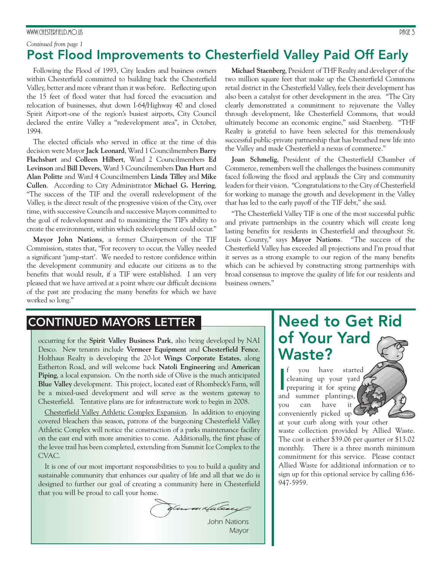#### www.chesterfield.mo.us Page 3 Page 3 Page 3 Page 3 Page 3 Page 3 Page 3 Page 3 Page 3 Page 3 Page 3 Page 3 Page 3 Page 3 Page 3 Page 3 Page 3 Page 3 Page 3 Page 3 Page 3 Page 3 Page 3 Page 3 Page 3 Page 3 Page 3 Page 3 Pag

#### **Post Flood Improvements to Chesterfield Valley Paid Off Early** *Continued from page 1*

Following the Flood of 1993, City leaders and business owners within Chesterfield committed to building back the Chesterfield Valley, better and more vibrant than it was before. Reflecting upon the 15 feet of flood water that had forced the evacuation and relocation of businesses, shut down I-64/Highway 40 and closed Spirit Airport-one of the region's busiest airports, City Council declared the entire Valley a "redevelopment area", in October, 1994.

The elected officials who served in office at the time of this decision were Mayor **Jack Leonard**, Ward 1 Councilmembers **Barry Flachsbart** and **Colleen Hilbert**, Ward 2 Councilmembers **Ed Levinson** and **Bill Devers**, Ward 3 Councilmembers **Dan Hurt** and **Alan Politte** and Ward 4 Councilmembers **Linda Tilley** and **Mike Cullen**. According to City Administrator **Michael G. Herring**, "The success of the TIF and the overall redevelopment of the Valley, is the direct result of the progressive vision of the City, over time, with successive Councils and successive Mayors committed to the goal of redevelopment and to maximizing the TIF's ability to create the environment, within which redevelopment could occur."

**Mayor John Nations**, a former Chairperson of the TIF Commission, states that, "For recovery to occur, the Valley needed a significant 'jump-start'. We needed to restore confidence within the development community and educate our citizens as to the benefits that would result, if a TIF were established. I am very pleased that we have arrived at a point where our difficult decisions of the past are producing the many benefits for which we have worked so long."

**Michael Staenberg**, President of THF Realty and developer of the two million square feet that make up the Chesterfield Commons retail district in the Chesterfield Valley, feels their development has also been a catalyst for other development in the area. "The City clearly demonstrated a commitment to rejuvenate the Valley through development, like Chesterfield Commons, that would ultimately become an economic engine," said Staenberg. "THF Realty is grateful to have been selected for this tremendously successful public-private partnership that has breathed new life into the Valley and made Chesterfield a nexus of commerce."

**Joan Schmelig**, President of the Chesterfield Chamber of Commerce, remembers well the challenges the business community faced following the flood and applauds the City and community leaders for their vision. "Congratulations to the City of Chesterfield for working to manage the growth and development in the Valley that has led to the early payoff of the TIF debt," she said.

"The Chesterfield Valley TIF is one of the most successful public and private partnerships in the country which will create long lasting benefits for residents in Chesterfield and throughout St. Louis County," says **Mayor Nations**. "The success of the Chesterfield Valley has exceeded all projections and I'm proud that it serves as a strong example to our region of the many benefits which can be achieved by constructing strong partnerships with broad consensus to improve the quality of life for our residents and business owners."

#### **CONTINUED MAYORS LETTER**

occurring for the **Spirit Valley Business Park**, also being developed by NAI Desco. New tenants include **Vermeer Equipment** and **Chesterfield Fence**. Holthaus Realty is developing the 20-lot **Wings Corporate Estates**, along Eatherton Road, and will welcome back **Natoli Engineering** and **American Piping**, a local expansion. On the north side of Olive is the much anticipated **Blue Valley** development. This project, located east of Rhombeck's Farm, will be a mixed-used development and will serve as the western gateway to Chesterfield. Tentative plans are for infrastructure work to begin in 2008.

Chesterfield Valley Athletic Complex Expansion. In addition to enjoying covered bleachers this season, patrons of the burgeoning Chesterfield Valley Athletic Complex will notice the construction of a parks maintenance facility on the east end with more amenities to come. Additionally, the first phase of the levee trail has been completed, extending from Summit Ice Complex to the CVAC.

It is one of our most important responsibilities to you to build a quality and sustainable community that enhances our quality of life and all that we do is designed to further our goal of creating a community here in Chesterfield that you will be proud to call your home.

Jan mixfalese

*John Nations Mayor*

### **Need to Get Rid of Your Yard Waste?**

If you have start<br>cleaning up your yar<br>preparing it for spring<br>and summer plantings. f you have started cleaning up your yard preparing it for spring you can have it conveniently picked up at your curb along with your other

waste collection provided by Allied Waste. The cost is either \$39.06 per quarter or \$13.02 monthly. There is a three month minimum commitment for this service. Please contact Allied Waste for additional information or to sign up for this optional service by calling 636- 947-5959.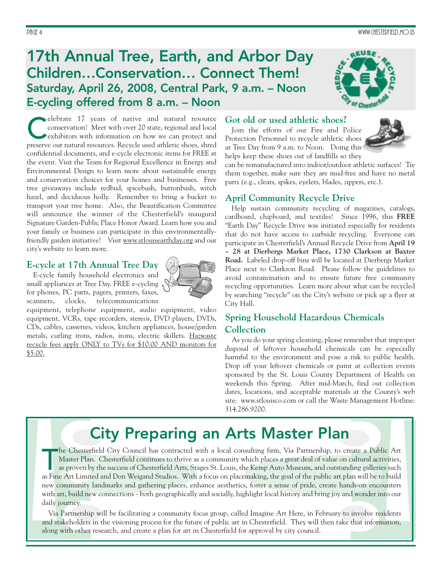### **17th Annual Tree, Earth, and Arbor Day Children…Conservation… Connect Them! Saturday, April 26, 2008, Central Park, 9 a.m. – Noon E-cycling offered from 8 a.m. – Noon**



elebrate 17 years of native and natural resource conservation! Meet with over 20 state, regional and local exhibitors with information on how we can protect and preserve our natural resources. Recycle used athletic shoes, shred confidential documents, and e-cycle electronic items for FREE at the event. Visit the Team for Regional Excellence in Energy and Environmental Design to learn more about sustainable energy and conservation choices for your homes and businesses. Free tree giveaways include redbud, spicebush, buttonbush, witch hazel, and deciduous holly. Remember to bring a bucket to transport your tree home. Also, the Beautification Committee will announce the winner of the Chesterfield's inaugural Signature Garden-Public Place Honor Award. Learn how you and your family or business can participate in this environmentallyfriendly garden initiative! Visit www.stlouisearthday.org and our city's website to learn more.

#### **E-cycle at 17th Annual Tree Day**

E-cycle family household electronics and small appliances at Tree Day. FREE e-cycling for phones, PC parts, pagers, printers, faxes, scanners, clocks, telecommunications



equipment, telephone equipment, audio equipment, video equipment, VCRs, tape recorders, stereos, DVD players, DVDs, CDs, cables, cassettes, videos, kitchen appliances, house/garden metals, curling irons, radios, irons, electric skillets. Hazwaste recycle fees apply ONLY to TVs for \$10.00 AND monitors for \$5.00.

#### **Got old or used athletic shoes?**

Join the efforts of our Fire and Police Protection Personnel to recycle athletic shoes at Tree Day from 9 a.m. to Noon. Doing this helps keep these shoes out of landfills so they

can be remanufactured into indoor/outdoor athletic surfaces! Tie them together, make sure they are mud-free and have no metal parts (e.g., cleats, spikes, eyelets, blades, zippers, etc.).

#### **April Community Recycle Drive**

Help sustain community recycling of magazines, catalogs, cardboard, chipboard, and textiles! Since 1996, this **FREE** "Earth Day" Recycle Drive was initiated especially for residents that do not have access to curbside recycling. Everyone can participate in Chesterfield's Annual Recycle Drive from **April 19 – 28 at Dierbergs Market Place, 1730 Clarkson at Baxter Road.** Labeled drop-off bins will be located at Dierbergs Market Place next to Clarkson Road. Please follow the guidelines to avoid contamination and to ensure future free community recycling opportunities. Learn more about what can be recycled by searching "recycle" on the City's website or pick up a flyer at City Hall.

#### **Spring Household Hazardous Chemicals Collection**

As you do your spring cleaning, please remember that improper disposal of leftover household chemicals can be especially harmful to the environment and pose a risk to public health. Drop off your leftover chemicals or paint at collection events sponsored by the St. Louis County Department of Health on weekends this Spring. After mid-March, find out collection dates, locations, and acceptable materials at the County's web site: www.stlouisco.com or call the Waste Management Hotline: 314.286.9200.

# **City Preparing an Arts Master Plan**

he Chesterfield City Council has contracted with a local consulting firm, Via Partnership, to create a Public Art<br>Master Plan. Chesterfield continues to thrive as a community which places a great deal of value on cultural he Chesterfield City Council has contracted with a local consulting firm, Via Partnership, to create a Public Art Master Plan. Chesterfield continues to thrive as a community which places a great deal of value on cultural activities, as proven by the success of Chesterfield Arts, Stages St. Louis, the Kemp Auto Museum, and outstanding galleries such new community landmarks and gathering places, enhance aesthetics, foster a sense of pride, create hands-on encounters with art, build new connections - both geographically and socially, highlight local history and bring joy and wonder into our daily journey.

Via Partnership will be facilitating a community focus group, called Imagine Art Here, in February to involve residents and stakeholders in the visioning process for the future of public art in Chesterfield. They will then take that information, along with other research, and create a plan for art in Chesterfield for approval by city council.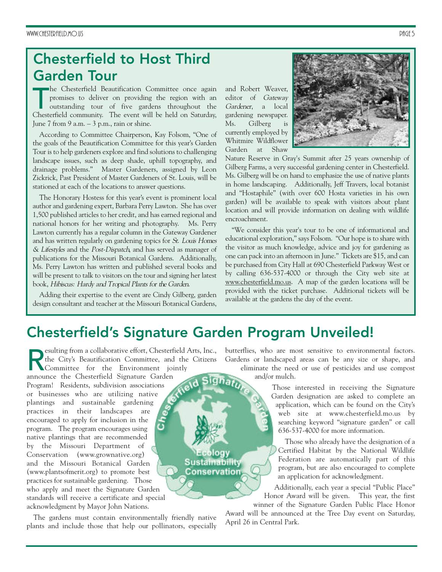### **Chesterfield to Host Third Garden Tour**

The Chesterfield Beautification Committee once again<br>promises to deliver on providing the region with an<br>outstanding tour of five gardens throughout the<br>Chesterfield community. The event will be held on Saturday. he Chesterfield Beautification Committee once again promises to deliver on providing the region with an outstanding tour of five gardens throughout the June  $7$  from  $9$  a.m.  $-3$  p.m., rain or shine.

According to Committee Chairperson, Kay Folsom, "One of the goals of the Beautification Committee for this year's Garden Tour is to help gardeners explore and find solutions to challenging landscape issues, such as deep shade, uphill topography, and drainage problems." Master Gardeners, assigned by Leon Zickrick, Past President of Master Gardeners of St. Louis, will be stationed at each of the locations to answer questions.

The Honorary Hostess for this year's event is prominent local author and gardening expert, Barbara Perry Lawton. She has over 1,500 published articles to her credit, and has earned regional and national honors for her writing and photography. Ms. Perry Lawton currently has a regular column in the Gateway Gardener and has written regularly on gardening topics for St. Louis Homes & Lifestyles and the Post-Dispatch, and has served as manager of publications for the Missouri Botanical Gardens. Additionally, Ms. Perry Lawton has written and published several books and will be present to talk to visitors on the tour and signing her latest book, Hibiscus: Hardy and Tropical Plants for the Garden.

Adding their expertise to the event are Cindy Gilberg, garden design consultant and teacher at the Missouri Botanical Gardens, and Robert Weaver, editor of Gateway Gardener, a local gardening newspaper. Ms. Gilberg is currently employed by Whitmire Wildflower Garden at Shaw



Nature Reserve in Gray's Summit after 25 years ownership of Gilberg Farms, a very successful gardening center in Chesterfield. Ms. Gilberg will be on hand to emphasize the use of native plants in home landscaping. Additionally, Jeff Travers, local botanist and "Hostaphile" (with over 600 Hosta varieties in his own garden) will be available to speak with visitors about plant location and will provide information on dealing with wildlife encroachment.

"We consider this year's tour to be one of informational and educational exploration," says Folsom. "Our hope is to share with the visitor as much knowledge, advice and joy for gardening as one can pack into an afternoon in June." Tickets are \$15, and can be purchased from City Hall at 690 Chesterfield Parkway West or by calling 636-537-4000 or through the City web site at www.chesterfield.mo.us. A map of the garden locations will be provided with the ticket purchase. Additional tickets will be available at the gardens the day of the event.

### **Chesterfield's Signature Garden Program Unveiled!**

esulting from a collaborative effort, Chesterfield Arts, Inc., the City's Beautification Committee, and the Citizens Committee for the Environment jointly announce the Chesterfield Signature Garden Program! Residents, subdivision associations or businesses who are utilizing native plantings and sustainable gardening practices in their landscapes are encouraged to apply for inclusion in the program. The program encourages using native plantings that are recommended by the Missouri Department of Ecology Conservation (www.grownative.org) **Sustainability** and the Missouri Botanical Garden (www.plantsofmerit.org) to promote best **Conservation** practices for sustainable gardening. Those who apply and meet the Signature Garden standards will receive a certificate and special acknowledgment by Mayor John Nations.

The gardens must contain environmentally friendly native plants and include those that help our pollinators, especially butterflies, who are most sensitive to environmental factors. Gardens or landscaped areas can be any size or shape, and eliminate the need or use of pesticides and use compost and/or mulch.

> Those interested in receiving the Signature Garden designation are asked to complete an application, which can be found on the City's web site at www.chesterfield.mo.us by searching keyword "signature garden" or call 636-537-4000 for more information.

Those who already have the designation of a Certified Habitat by the National Wildlife Federation are automatically part of this program, but are also encouraged to complete an application for acknowledgment.

Additionally, each year a special "Public Place" Honor Award will be given. This year, the first winner of the Signature Garden Public Place Honor

Award will be announced at the Tree Day event on Saturday, April 26 in Central Park.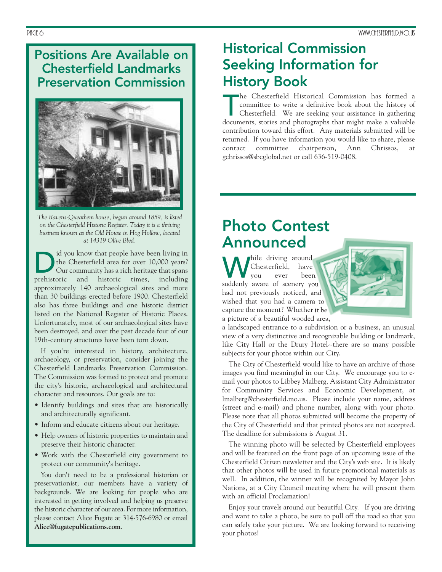#### **Positions Are Available on Chesterfield Landmarks Preservation Commission**



*The Ravens-Queathem house, begun around 1859, is listed on the Chesterfield Historic Register. Today it is a thriving business known as the Old House in Hog Hollow, located at 14319 Olive Blvd.*

Id you know that people have been living in<br>the Chesterfield area for over 10,000 years?<br>Our community has a rich heritage that spans the Chesterfield area for over 10,000 years? Our community has a rich heritage that spans prehistoric and historic times, including approximately 140 archaeological sites and more than 30 buildings erected before 1900. Chesterfield also has three buildings and one historic district listed on the National Register of Historic Places. Unfortunately, most of our archaeological sites have been destroyed, and over the past decade four of our 19th-century structures have been torn down.

If you're interested in history, architecture, archaeology, or preservation, consider joining the Chesterfield Landmarks Preservation Commission. The Commission was formed to protect and promote the city's historic, archaeological and architectural character and resources. Our goals are to:

- Identify buildings and sites that are historically and architecturally significant.
- Inform and educate citizens about our heritage.
- Help owners of historic properties to maintain and preserve their historic character.
- Work with the Chesterfield city government to protect our community's heritage.

You don't need to be a professional historian or preservationist; our members have a variety of backgrounds. We are looking for people who are interested in getting involved and helping us preserve the historic character of our area. For more information, please contact Alice Fugate at 314-576-6980 or email **Alice@fugatepublications.com**.

### **Historical Commission Seeking Information for History Book**

The Chesterfield Historical Commission has formed a committee to write a definitive book about the history of Chesterfield. We are seeking your assistance in gathering documents, stories and photographs that might make a v he Chesterfield Historical Commission has formed a committee to write a definitive book about the history of Chesterfield. We are seeking your assistance in gathering contribution toward this effort. Any materials submitted will be returned. If you have information you would like to share, please contact committee chairperson, Ann Chrissos, at gchrissos@sbcglobal.net or call 636-519-0408.

### **Photo Contest Announced**

hile driving around<br>Chesterfield, have<br>vou ever been Chesterfield, have been suddenly aware of scenery you had not previously noticed, and wished that you had a camera to capture the moment? Whether it be a picture of a beautiful wooded area,

a landscaped entrance to a subdivision or a business, an unusual view of a very distinctive and recognizable building or landmark, like City Hall or the Drury Hotel--there are so many possible subjects for your photos within our City.

The City of Chesterfield would like to have an archive of those images you find meaningful in our City. We encourage you to email your photos to Libbey Malberg, Assistant City Administrator for Community Services and Economic Development, at lmalberg@chesterfield.mo.us. Please include your name, address (street and e-mail) and phone number, along with your photo. Please note that all photos submitted will become the property of the City of Chesterfield and that printed photos are not accepted. The deadline for submissions is August 31.

The winning photo will be selected by Chesterfield employees and will be featured on the front page of an upcoming issue of the Chesterfield Citizen newsletter and the City's web site. It is likely that other photos will be used in future promotional materials as well. In addition, the winner will be recognized by Mayor John Nations, at a City Council meeting where he will present them with an official Proclamation!

Enjoy your travels around our beautiful City. If you are driving and want to take a photo, be sure to pull off the road so that you can safely take your picture. We are looking forward to receiving your photos!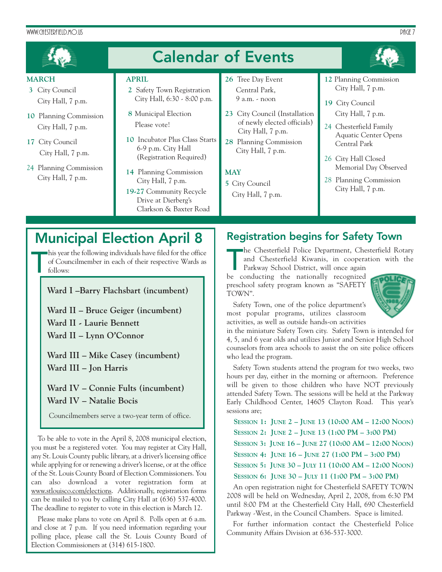#### WWW.CHESTERFIELD.MO.US PAGE 7



- **3** City Council City Hall, 7 p.m.
- **10** Planning Commission City Hall, 7 p.m.
- **17** City Council City Hall, 7 p.m.
- 24 Planning Commission City Hall, 7 p.m.
- **2** Safety Town Registration City Hall, 6:30 - 8:00 p.m.
- **8** Municipal Election Please vote!
- **10** Incubator Plus Class Starts 6-9 p.m. City Hall (Registration Required)
- **14** Planning Commission City Hall, 7 p.m.
- **19-27** Community Recycle Drive at Dierberg's Clarkson & Baxter Road
- Central Park, 9 a.m. - noon
- **23** City Council (Installation of newly elected officials) City Hall, 7 p.m.
- **28** Planning Commission City Hall, 7 p.m.

#### **MAY**

- **5** City Council
- City Hall, 7 p.m.
- City Hall, 7 p.m.
- **19** City Council City Hall, 7 p.m.
- 24 Chesterfield Family Aquatic Center Opens Central Park
- 26 City Hall Closed Memorial Day Observed
- 28 Planning Commission City Hall, 7 p.m.

### **Municipal Election April 8**

T his year the following individuals have filed for the office of Councilmember in each of their respective Wards as follows:

**Ward I –Barry Flachsbart (incumbent)**

- **Ward II Bruce Geiger (incumbent)**
- **Ward II Laurie Bennett**
- **Ward II Lynn O'Connor**

**Ward III – Mike Casey (incumbent) Ward III – Jon Harris**

**Ward IV – Connie Fults (incumbent) Ward IV – Natalie Bocis**

Councilmembers serve a two-year term of office.

To be able to vote in the April 8, 2008 municipal election, you must be a registered voter. You may register at City Hall, any St. Louis County public library, at a driver's licensing office while applying for or renewing a driver's license, or at the office of the St. Louis County Board of Election Commissioners. You can also download a voter registration form at www.stlouisco.com/elections. Additionally, registration forms can be mailed to you by calling City Hall at (636) 537-4000. The deadline to register to vote in this election is March 12.

Please make plans to vote on April 8. Polls open at 6 a.m. and close at 7 p.m. If you need information regarding your polling place, please call the St. Louis County Board of Election Commissioners at (314) 615-1800.

#### **Registration begins for Safety Town**

The Chesterfield Police Department, Che<br>
and Chesterfield Kiwanis, in coopera<br>
Parkway School District, will once again<br>
be conducting the nationally recognized he Chesterfield Police Department, Chesterfield Rotary and Chesterfield Kiwanis, in cooperation with the

Parkway School District, will once again preschool safety program known as "SAFETY TOWN".

Safety Town, one of the police department's most popular programs, utilizes classroom activities, as well as outside hands-on activities



in the miniature Safety Town city. Safety Town is intended for 4, 5, and 6 year olds and utilizes Junior and Senior High School counselors from area schools to assist the on site police officers who lead the program.

Safety Town students attend the program for two weeks, two hours per day, either in the morning or afternoon. Preference will be given to those children who have NOT previously attended Safety Town. The sessions will be held at the Parkway Early Childhood Center, 14605 Clayton Road. This year's sessions are;

**SESSION 1: JUNE 2 – JUNE 13 (10:00 AM – 12:00 NOON) SESSION 2: JUNE 2 – JUNE 13 (1:00 PM – 3:00 PM) SESSION 3: JUNE 16 – JUNE 27 (10:00 AM – 12:00 NOON) SESSION 4: JUNE 16 – JUNE 27 (1:00 PM – 3:00 PM) SESSION 5: JUNE 30 – JULY 11 (10:00 AM – 12:00 NOON) SESSION 6: JUNE 30 – JULY 11 (1:00 PM – 3:00 PM)**

An open registration night for Chesterfield SAFETY TOWN 2008 will be held on Wednesday, April 2, 2008, from 6:30 PM until 8:00 PM at the Chesterfield City Hall, 690 Chesterfield Parkway -West, in the Council Chambers. Space is limited.

For further information contact the Chesterfield Police Community Affairs Division at 636-537-3000.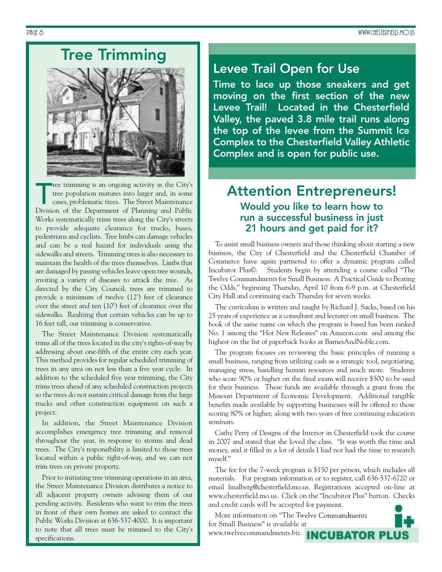# **Tree Trimming**



The trimming is an ongoing activity as the City's<br>tree population matures into larger and, in some<br>cases, problematic trees. The Street Maintenance<br>Division of the Department of Planning and Public ree trimming is an ongoing activity as the City's tree population matures into larger and, in some cases, problematic trees. The Street Maintenance Works systematically trims trees along the City's streets to provide adequate clearance for trucks, buses, pedestrians and cyclists. Tree limbs can damage vehicles and can be a real hazard for individuals using the sidewalks and streets. Trimming trees is also necessary to maintain the health of the trees themselves. Limbs that are damaged by passing vehicles leave open tree wounds, inviting a variety of diseases to attack the tree. As directed by the City Council, trees are trimmed to provide a minimum of twelve (12') feet of clearance over the street and ten (10') feet of clearance over the sidewalks. Realizing that certain vehicles can be up to 16 feet tall, our trimming is conservative.

The Street Maintenance Division systematically trims all of the trees located in the city's rights-of-way by addressing about one-fifth of the entire city each year. This method provides for regular scheduled trimming of trees in any area on not less than a five year cycle. In addition to the scheduled five year trimming, the City trims trees ahead of any scheduled construction projects so the trees do not sustain critical damage from the large trucks and other construction equipment on such a project.

In addition, the Street Maintenance Division accomplishes emergency tree trimming and removal throughout the year, in response to storms and dead trees. The City's responsibility is limited to those trees located within a public right-of-way, and we can not trim trees on private property.

Prior to initiating tree trimming operations in an area, the Street Maintenance Division distributes a notice to all adjacent property owners advising them of our pending activity. Residents who want to trim the trees in front of their own homes are asked to contact the Public Works Division at 636-537-4000. It is important to note that all trees must be trimmed to the City's specifications.

#### **Levee Trail Open for Use**

**Time to lace up those sneakers and get moving on the first section of the new Levee Trail! Located in the Chesterfield Valley, the paved 3.8 mile trail runs along the top of the levee from the Summit Ice Complex to the Chesterfield Valley Athletic Complex and is open for public use.** 

# **Attention Entrepreneurs!**

#### **Would you like to learn how to run a successful business in just 21 hours and get paid for it?**

To assist small business owners and those thinking about starting a new business, the City of Chesterfield and the Chesterfield Chamber of Commerce have again partnered to offer a dynamic program called Incubator Plus©. Students begin by attending a course called "The Twelve Commandments for Small Business: A Practical Guide to Beating the Odds," beginning Thursday, April 10 from 6-9 p.m. at Chesterfield City Hall and continuing each Thursday for seven weeks.

The curriculum is written and taught by Richard J. Sacks, based on his 25 years of experience as a consultant and lecturer on small business. The book of the same name on which the program is based has been ranked No. 1 among the "Hot New Releases" on Amazon.com and among the highest on the list of paperback books at BarnesAndNoble.com.

The program focuses on reviewing the basic principles of running a small business, ranging from utilizing cash as a strategic tool, negotiating, managing stress, handling human resources and much more. Students who score 90% or higher on the final exam will receive \$500 to be used for their business. These funds are available through a grant from the Missouri Department of Economic Development. Additional tangible benefits made available by supporting businesses will be offered to those scoring 80% or higher, along with two years of free continuing education seminars.

Cathy Perry of Designs of the Interior in Chesterfield took the course in 2007 and stated that she loved the class. "It was worth the time and money, and it filled in a lot of details I had not had the time to research myself."

The fee for the 7-week program is \$150 per person, which includes all materials. For program information or to register, call 636-537-6720 or email lmalberg@chesterfield.mo.us. Registrations accepted on-line at www.chesterfield.mo.us. Click on the "Incubator Plus" button. Checks and credit cards will be accepted for payment.

More information on "The Twelve Commandments for Small Business" is available at www.twelvecommandments.biz.

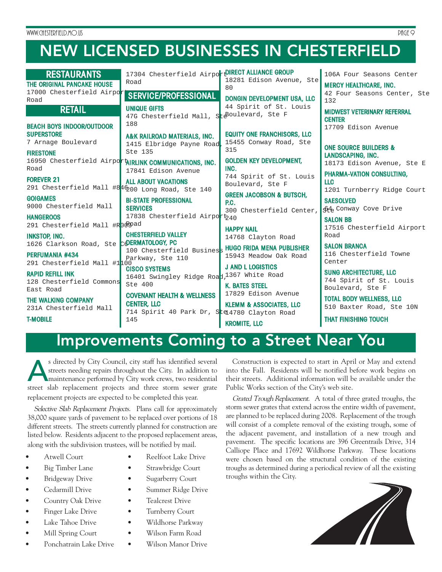# **NEW LICENSED BUSINESSES IN CHESTERFIELD**

| <b>RESTAURANTS</b><br>THE ORIGINAL PANCAKE HOUSE<br>17000 Chesterfield Airpor<br>Road<br><b>RETAIL</b> | 17304 Chesterfield AirportDIRECT ALLIANCE GROUP<br>Road<br><b>SERVICE/PROFESSIONAL</b><br><b>UNIQUE GIFTS</b><br>47G Chesterfield Mall, SteBoulevard, Ste F<br>188 | 18281 Edison Avenue, Ste<br>80<br>DONGIN DEVELOPMENT USA, LLC<br>44 Spirit of St. Louis               | 106A Four Seasons Center<br><b>MERCY HEALTHCARE, INC.</b><br>42 Four Seasons Center, Ste<br>132<br><b>MIDWEST VETERINARY REFERRAL</b><br><b>CENTER</b> |
|--------------------------------------------------------------------------------------------------------|--------------------------------------------------------------------------------------------------------------------------------------------------------------------|-------------------------------------------------------------------------------------------------------|--------------------------------------------------------------------------------------------------------------------------------------------------------|
| <b>BEACH BOYS INDOOR/OUTDOOR</b><br><b>SUPERSTORE</b><br>7 Arnage Boulevard<br><b>FIRESTONE</b>        | A&K RAILROAD MATERIALS, INC.<br>1415 Elbridge Payne Road<br>Ste 135<br>16950 Chesterfield AirportMRLINK COMMUNICATIONS, INC.                                       | <b>EQUITY ONE FRANCHISORS, LLC</b><br>15455 Conway Road, Ste<br>315<br><b>GOLDEN KEY DEVELOPMENT,</b> | 17709 Edison Avenue<br><b>ONE SOURCE BUILDERS &amp;</b><br>LANDSCAPING, INC.<br>18173 Edison Avenue, Ste E                                             |
| Road<br><b>FOREVER 21</b><br>291 Chesterfield Mall #8 46200 Long Road, Ste 140                         | 17841 Edison Avenue<br><b>ALL ABOUT VACATIONS</b>                                                                                                                  | INC.<br>744 Spirit of St. Louis<br>Boulevard, Ste F<br><b>GREEN JACOBSON &amp; BUTSCH,</b>            | <b>PHARMA-VATION CONSULTING,</b><br><b>LLC</b><br>1201 Turnberry Ridge Court                                                                           |
| <b>GOIGAMES</b><br>9000 Chesterfield Mall<br><b>HANGEROOS</b><br>291 Chesterfield Mall #Rofpad         | <b>BI-STATE PROFESSIONAL</b><br><b>SERVICES</b><br>17838 Chesterfield Airport <sub>240</sub>                                                                       | P.C.<br>300 Chesterfield Center.<br><b>HAPPY NAIL</b>                                                 | <b>SAESOLVED</b><br>64 Conway Cove Drive<br><b>SALON BB</b><br>17516 Chesterfield Airport                                                              |
| <b>INKSTOP, INC.</b><br>1626 Clarkson Road, Ste COERMATOLOGY, PC<br><b>PERFUMANIA #434</b>             | <b>CHESTERFIELD VALLEY</b><br>100 Chesterfield Business HUGO FRIDA MENA PUBLISHER<br>Parkway, Ste 110                                                              | 14768 Clayton Road<br>15943 Meadow Oak Road                                                           | Road<br><b>SALON BRANCA</b><br>116 Chesterfield Towne<br>Center                                                                                        |
| 291 Chesterfield Mall #100<br><b>RAPID REFILL INK</b><br>128 Chesterfield Commons<br>East Road         | <b>CISCO SYSTEMS</b><br>16401 Swingley Ridge Road, 1367 White Road<br>Ste $400$                                                                                    | <b>J AND L LOGISTICS</b><br><b>K. BATES STEEL</b><br>17829 Edison Avenue                              | <b>SUNG ARCHITECTURE, LLC</b><br>744 Spirit of St. Louis<br>Boulevard, Ste F                                                                           |
| THE WALKING COMPANY<br>231A Chesterfield Mall<br><b>T-MOBILE</b>                                       | <b>COVENANT HEALTH &amp; WELLNESS</b><br><b>CENTER, LLC</b><br>714 Spirit 40 Park Dr, Ste 4780 Clayton Road<br>145                                                 | <b>KLEMM &amp; ASSOCIATES, LLC</b><br><b>KROMITE, LLC</b>                                             | <b>TOTAL BODY WELLNESS, LLC</b><br>510 Baxter Road, Ste 10N<br><b>THAT FINISHING TOUCH</b>                                                             |

### **Improvements Coming to a Street Near You**

s directed by City Council, city staff has identified several<br>streets needing repairs throughout the City. In addition to<br>maintenance performed by City work crews, two residential<br>street slab replacement, projects, and, th streets needing repairs throughout the City. In addition to maintenance performed by City work crews, two residential street slab replacement projects and three storm sewer grate replacement projects are expected to be completed this year.

Selective Slab Replacement Projects. Plans call for approximately 38,000 square yards of pavement to be replaced over portions of 18 different streets. The streets currently planned for construction are listed below. Residents adjacent to the proposed replacement areas, along with the subdivision trustees, will be notified by mail.

- Atwell Court
- Big Timber Lane
- Bridgeway Drive
- Cedarmill Drive
- Country Oak Drive
- Finger Lake Drive
- Lake Tahoe Drive
- Mill Spring Court
- Ponchatrain Lake Drive
- Reelfoot Lake Drive
- Strawbridge Court
- Sugarberry Court
- Summer Ridge Drive
- Tealcrest Drive
- Turnberry Court
- Wildhorse Parkway
- Wilson Farm Road
	- Wilson Manor Drive

Construction is expected to start in April or May and extend into the Fall. Residents will be notified before work begins on their streets. Additional information will be available under the Public Works section of the City's web site.

Grated Trough Replacement. A total of three grated troughs, the storm sewer grates that extend across the entire width of pavement, are planned to be replaced during 2008. Replacement of the trough will consist of a complete removal of the existing trough, some of the adjacent pavement, and installation of a new trough and pavement. The specific locations are 396 Greentrails Drive, 314 Calliope Place and 17692 Wildhorse Parkway. These locations were chosen based on the structural condition of the existing troughs as determined during a periodical review of all the existing troughs within the City.

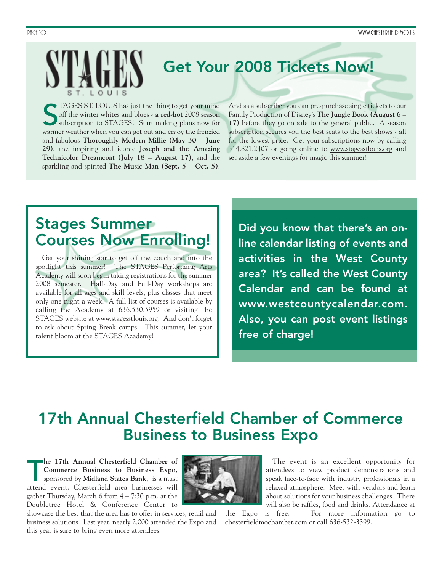# **Get Your 2008 Tickets Now!**

ST. LOUIS has just the thing to get your mind<br>off the winter whites and blues - **a red-hot** 2008 season<br>subscription to STAGES! Start making plans now for<br>warmer weather when you can get out and enjoy the frenzied TAGES ST. LOUIS has just the thing to get your mind off the winter whites and blues - **a red-hot** 2008 season subscription to STAGES! Start making plans now for and fabulous **Thoroughly Modern Millie (May 30 – June 29)**, the inspiring and iconic **Joseph and the Amazing Technicolor Dreamcoat (July 18 – August 17)**, and the sparkling and spirited **The Music Man (Sept. 5 – Oct. 5)**.

And as a subscriber you can pre-purchase single tickets to our Family Production of Disney's **The Jungle Book (August 6 – 17)** before they go on sale to the general public. A season subscription secures you the best seats to the best shows - all for the lowest price. Get your subscriptions now by calling 314.821.2407 or going online to www.stagesstlouis.org and set aside a few evenings for magic this summer!

### **Stages Summer Courses Now Enrolling!**

Get your shining star to get off the couch and into the spotlight this summer! The STAGES Performing Arts Academy will soon begin taking registrations for the summer 2008 semester. Half-Day and Full-Day workshops are available for all ages and skill levels, plus classes that meet only one night a week. A full list of courses is available by calling the Academy at 636.530.5959 or visiting the STAGES website at www.stagesstlouis.org. And don't forget to ask about Spring Break camps. This summer, let your talent bloom at the STAGES Academy!

**Did you know that there's an online calendar listing of events and activities in the West County area? It's called the West County Calendar and can be found at www.westcountycalendar.com. Also, you can post event listings free of charge!** 

## **17th Annual Chesterfield Chamber of Commerce Business to Business Expo**

he 17th Annual Chesterfield Chamber of<br>
Commerce Business to Business Expo,<br>
sponsored by Midland States Bank, is a must<br>
attend event. Chesterfield area businesses will he **17th Annual Chesterfield Chamber of Commerce Business to Business Expo,** sponsored by **Midland States Bank**, is a must gather Thursday, March 6 from  $4 - 7:30$  p.m. at the Doubletree Hotel & Conference Center to

showcase the best that the area has to offer in services, retail and business solutions. Last year, nearly 2,000 attended the Expo and this year is sure to bring even more attendees.



The event is an excellent opportunity for attendees to view product demonstrations and speak face-to-face with industry professionals in a relaxed atmosphere. Meet with vendors and learn about solutions for your business challenges. There will also be raffles, food and drinks. Attendance at

the Expo is free. For more information go to chesterfieldmochamber.com or call 636-532-3399.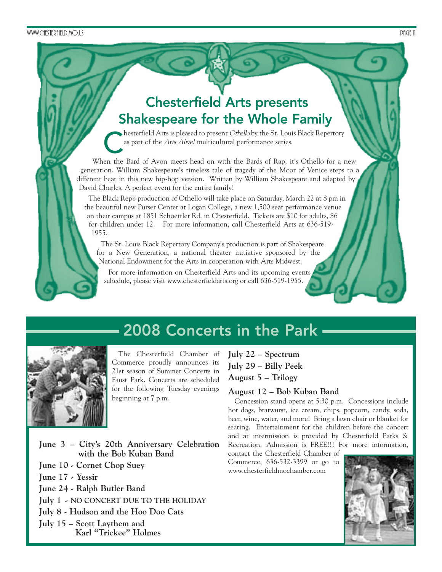### **Chesterfield Arts presents Shakespeare for the Whole Family**

hesterfield Arts is pleased to present Othello by the St. Louis Black Repertory as part of the Arts Alive! multicultural performance series.

When the Bard of Avon meets head on with the Bards of Rap, it's Othello for a new generation. William Shakespeare's timeless tale of tragedy of the Moor of Venice steps to a different beat in this new hip-hop version. Written by William Shakespeare and adapted by David Charles. A perfect event for the entire family!

The Black Rep's production of Othello will take place on Saturday, March 22 at 8 pm in the beautiful new Purser Center at Logan College, a new 1,500 seat performance venue on their campus at 1851 Schoettler Rd. in Chesterfield. Tickets are \$10 for adults, \$6 for children under 12. For more information, call Chesterfield Arts at 636-519- 1955.

The St. Louis Black Repertory Company's production is part of Shakespeare for a New Generation, a national theater initiative sponsored by the National Endowment for the Arts in cooperation with Arts Midwest.

For more information on Chesterfield Arts and its upcoming events schedule, please visit www.chesterfieldarts.org or call 636-519-1955.

**2008 Concerts in the Park**



The Chesterfield Chamber of Commerce proudly announces its 21st season of Summer Concerts in Faust Park. Concerts are scheduled for the following Tuesday evenings beginning at 7 p.m.

**July 22 – Spectrum July 29 – Billy Peek August 5 – Trilogy**

#### **August 12 – Bob Kuban Band**

Concession stand opens at 5:30 p.m. Concessions include hot dogs, bratwurst, ice cream, chips, popcorn, candy, soda, beer, wine, water, and more! Bring a lawn chair or blanket for seating. Entertainment for the children before the concert and at intermission is provided by Chesterfield Parks & Recreation. Admission is FREE!!! For more information,

contact the Chesterfield Chamber of Commerce, 636-532-3399 or go to www.chesterfieldmochamber.com



**June 3 – City's 20th Anniversary Celebration with the Bob Kuban Band** 

**June 10 - Cornet Chop Suey**

- **June 17 Yessir**
- **June 24 Ralph Butler Band**

**July 1 - NO CONCERT DUE TO THE HOLIDAY**

**July 8 - Hudson and the Hoo Doo Cats**

**July 15 – Scott Laythem and Karl "Trickee" Holmes**